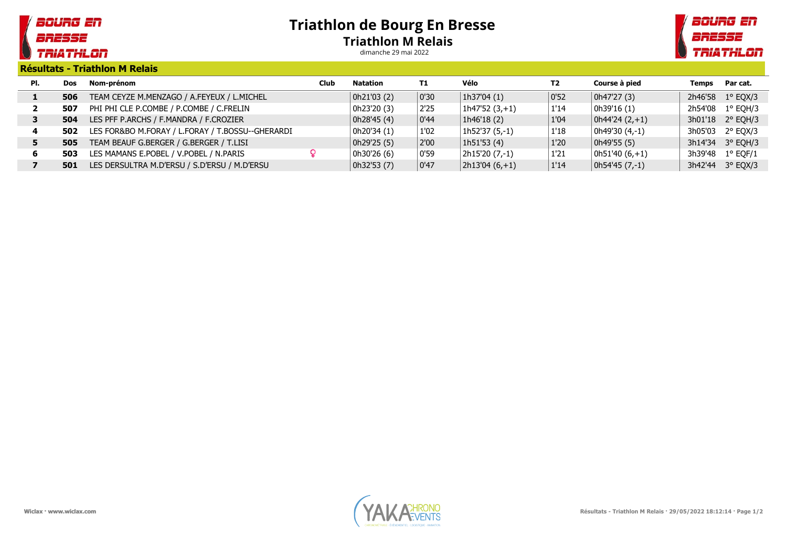## soung en BRESSE **TRIATHLON**

## Triathlon de Bourg En Bresse Triathlon M Relais

dimanche 29 mai 2022



Résultats - Triathlon M Relais

| PI. | <b>Dos</b> | Nom-prénom                                       | <b>Club</b> | Natation    | T1   | Vélo              | T2   | Course à pied     | Temps   | Par cat.          |
|-----|------------|--------------------------------------------------|-------------|-------------|------|-------------------|------|-------------------|---------|-------------------|
|     | 506        | TEAM CEYZE M.MENZAGO / A.FEYEUX / L.MICHEL       |             | 0h21'03 (2) | 0'30 | 1h37'04 (1)       | 0'52 | 0h47'27 (3)       | 2h46'58 | $1^{\circ}$ EQX/3 |
|     | 507        | PHI PHI CLE P.COMBE / P.COMBE / C.FRELIN         |             | 0h23'20 (3) | 2'25 | 1h47'52 (3,+1)    | 1'14 | 0h39'16 (1)       | 2h54'08 | $1^{\circ}$ EQH/3 |
|     | 504        | LES PFF P.ARCHS / F.MANDRA / F.CROZIER           |             | 0h28'45 (4) | 0'44 | 1h46'18 (2)       | 1'04 | $ 0h44'24(2,+1) $ |         | 3h01'18 2° EOH/3  |
| 4   | 502        | LES FOR&BO M.FORAY / L.FORAY / T.BOSSU--GHERARDI |             | 0h20'34 (1) | 1'02 | 1h52'37 (5,-1)    | 1'18 | 0h49'30 (4,-1)    |         | 3h05'03 2° EQX/3  |
|     | 505        | TEAM BEAUF G.BERGER / G.BERGER / T.LISI          |             | 0h29'25 (5) | 2'00 | 1h51'53 (4)       | 1'20 | 0h49'55 (5)       |         | 3h14'34 3° EQH/3  |
| 6   | 503        | LES MAMANS E.POBEL / V.POBEL / N.PARIS           |             | 0h30'26 (6) | 0'59 | 2h15'20 (7,-1)    | 1'21 | 0h51'40 (6,+1)    | 3h39'48 | $1^{\circ}$ EQF/1 |
|     | 501        | LES DERSULTRA M.D'ERSU / S.D'ERSU / M.D'ERSU     |             | 0h32'53 (7) | 0'47 | $ 2h13'04(6,+1) $ | 1'14 | $ 0h54'45(7,-1) $ |         | 3h42'44 3° EOX/3  |